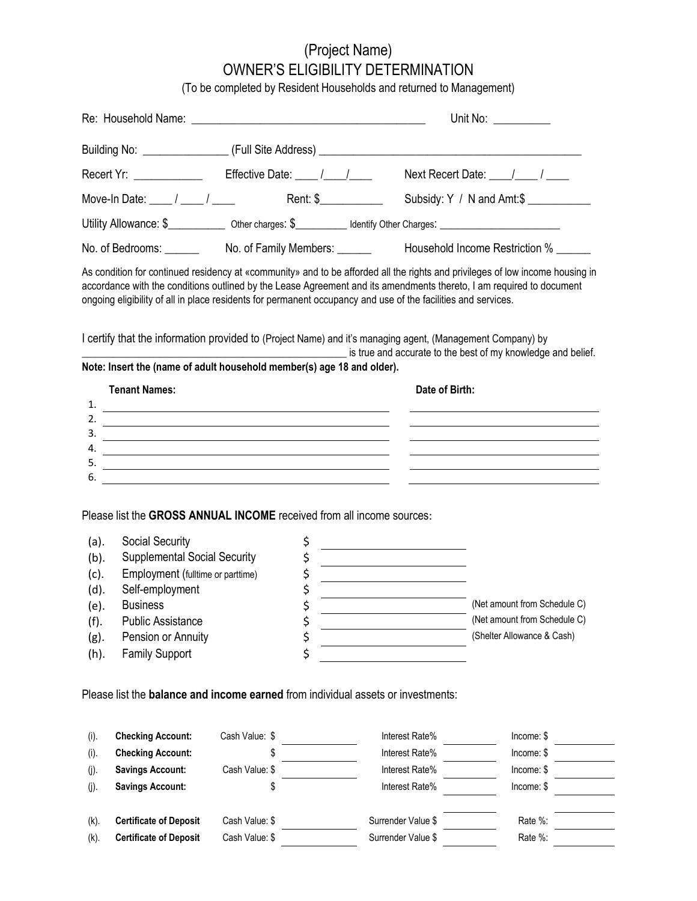# (Project Name) OWNER'S ELIGIBILITY DETERMINATION

(To be completed by Resident Households and returned to Management)

Re: Household Name: \_\_\_\_\_\_\_\_\_\_\_\_\_\_\_\_\_\_\_\_\_\_\_\_\_\_\_\_\_\_\_\_\_\_\_\_\_\_\_\_\_ Unit No: \_\_\_\_\_\_\_\_\_\_

|                                                                    | Recert Yr: _______________  Effective Date: ____ /____/____                                                                                                                                                                                                                                                            |                |                                              |                                                   |                | Next Recert Date: $\frac{1}{\sqrt{2}}$                                                                                                                                                                                                                |
|--------------------------------------------------------------------|------------------------------------------------------------------------------------------------------------------------------------------------------------------------------------------------------------------------------------------------------------------------------------------------------------------------|----------------|----------------------------------------------|---------------------------------------------------|----------------|-------------------------------------------------------------------------------------------------------------------------------------------------------------------------------------------------------------------------------------------------------|
|                                                                    |                                                                                                                                                                                                                                                                                                                        |                |                                              |                                                   |                |                                                                                                                                                                                                                                                       |
|                                                                    | Utility Allowance: \$______________ Other charges: \$___________ Identify Other Charges: _______________________                                                                                                                                                                                                       |                |                                              |                                                   |                |                                                                                                                                                                                                                                                       |
|                                                                    |                                                                                                                                                                                                                                                                                                                        |                |                                              |                                                   |                | No. of Bedrooms: _______________No. of Family Members: _________________________ Household Income Restriction % ______                                                                                                                                |
|                                                                    | ongoing eligibility of all in place residents for permanent occupancy and use of the facilities and services.                                                                                                                                                                                                          |                |                                              |                                                   |                | As condition for continued residency at «community» and to be afforded all the rights and privileges of low income housing in<br>accordance with the conditions outlined by the Lease Agreement and its amendments thereto, I am required to document |
|                                                                    | l certify that the information provided to (Project Name) and it's managing agent, (Management Company) by<br>Note: Insert the (name of adult household member(s) age 18 and older).                                                                                                                                   |                |                                              |                                                   |                | is true and accurate to the best of my knowledge and belief.                                                                                                                                                                                          |
|                                                                    | <b>Tenant Names:</b>                                                                                                                                                                                                                                                                                                   |                |                                              |                                                   | Date of Birth: |                                                                                                                                                                                                                                                       |
|                                                                    | 1. $\frac{1}{2}$ $\frac{1}{2}$ $\frac{1}{2}$ $\frac{1}{2}$ $\frac{1}{2}$ $\frac{1}{2}$ $\frac{1}{2}$ $\frac{1}{2}$ $\frac{1}{2}$ $\frac{1}{2}$ $\frac{1}{2}$ $\frac{1}{2}$ $\frac{1}{2}$ $\frac{1}{2}$ $\frac{1}{2}$ $\frac{1}{2}$ $\frac{1}{2}$ $\frac{1}{2}$ $\frac{1}{2}$ $\frac{1}{2}$ $\frac{1}{2}$ $\frac{1}{2}$ |                |                                              |                                                   |                |                                                                                                                                                                                                                                                       |
| 2.                                                                 | <u> 2000 - Andrea Britain, amerikan bizi dago da basar da basar da basar da basar da basar da basar da basar da b</u>                                                                                                                                                                                                  |                |                                              |                                                   |                |                                                                                                                                                                                                                                                       |
|                                                                    | $\overline{\phantom{a}}$<br>$\overline{a}$ .                                                                                                                                                                                                                                                                           |                |                                              |                                                   |                |                                                                                                                                                                                                                                                       |
|                                                                    |                                                                                                                                                                                                                                                                                                                        |                |                                              |                                                   |                |                                                                                                                                                                                                                                                       |
| 5.                                                                 |                                                                                                                                                                                                                                                                                                                        |                |                                              |                                                   |                |                                                                                                                                                                                                                                                       |
| 6.                                                                 | Please list the GROSS ANNUAL INCOME received from all income sources:                                                                                                                                                                                                                                                  |                |                                              |                                                   |                |                                                                                                                                                                                                                                                       |
| (a).<br>$(b)$ .<br>(c).<br>(d).<br>(e).<br>(f).<br>$(g)$ .<br>(h). | Social Security<br><b>Supplemental Social Security</b><br>Employment (fulltime or parttime)<br>Self-employment<br><b>Business</b><br><b>Public Assistance</b><br>Pension or Annuity<br><b>Family Support</b>                                                                                                           |                | \$<br>\$<br>\$<br>\$<br>\$<br>\$<br>\$<br>\$ | <u> 1989 - Johann Barbara, martxa alemaniar a</u> |                | (Net amount from Schedule C)<br>(Net amount from Schedule C)<br>(Shelter Allowance & Cash)                                                                                                                                                            |
|                                                                    | Please list the <b>balance and income earned</b> from individual assets or investments:                                                                                                                                                                                                                                |                |                                              |                                                   |                |                                                                                                                                                                                                                                                       |
| (i).                                                               | <b>Checking Account:</b>                                                                                                                                                                                                                                                                                               | Cash Value: \$ |                                              | Interest Rate%                                    |                | Income: \$                                                                                                                                                                                                                                            |
| (i).                                                               | <b>Checking Account:</b>                                                                                                                                                                                                                                                                                               | \$             |                                              | Interest Rate%                                    |                | Income: \$                                                                                                                                                                                                                                            |
| $(j)$ .                                                            | <b>Savings Account:</b>                                                                                                                                                                                                                                                                                                | Cash Value: \$ |                                              | Interest Rate%                                    |                | Income: \$                                                                                                                                                                                                                                            |
| $(j)$ .                                                            | <b>Savings Account:</b>                                                                                                                                                                                                                                                                                                | \$             |                                              | Interest Rate%                                    |                | Income: \$                                                                                                                                                                                                                                            |
| (k).                                                               | <b>Certificate of Deposit</b>                                                                                                                                                                                                                                                                                          | Cash Value: \$ |                                              | Surrender Value \$                                |                | Rate %:                                                                                                                                                                                                                                               |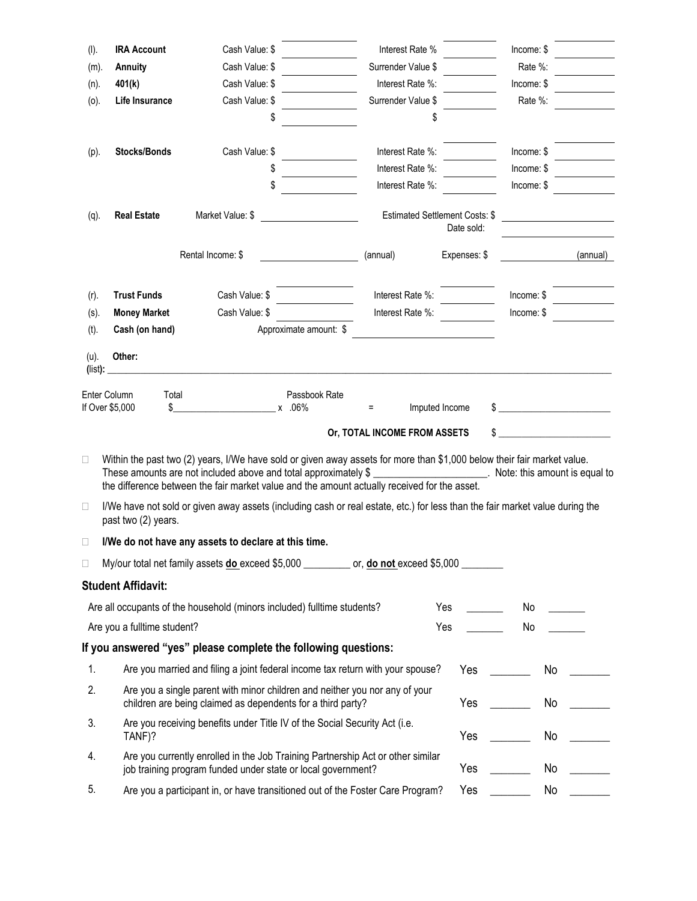| (I).            | <b>IRA Account</b>                             | Cash Value: \$                                                                                                                                                                                                                                                                             | Interest Rate %                                                                |                | Income: \$                    |          |
|-----------------|------------------------------------------------|--------------------------------------------------------------------------------------------------------------------------------------------------------------------------------------------------------------------------------------------------------------------------------------------|--------------------------------------------------------------------------------|----------------|-------------------------------|----------|
| $(m)$ .         | <b>Annuity</b>                                 | Cash Value: \$                                                                                                                                                                                                                                                                             | Surrender Value \$                                                             |                | Rate %:                       |          |
| $(n)$ .         | 401(k)                                         | Cash Value: \$                                                                                                                                                                                                                                                                             | Interest Rate %:                                                               |                | Income: \$                    |          |
| (o).            | Life Insurance                                 | Cash Value: \$                                                                                                                                                                                                                                                                             | Surrender Value \$                                                             |                | Rate %:                       |          |
|                 |                                                |                                                                                                                                                                                                                                                                                            | \$                                                                             |                |                               |          |
| (p).            | Stocks/Bonds                                   | Cash Value: \$                                                                                                                                                                                                                                                                             | Interest Rate %:                                                               |                | Income: \$                    |          |
|                 |                                                |                                                                                                                                                                                                                                                                                            | Interest Rate %:                                                               |                | Income: \$                    |          |
|                 |                                                | \$                                                                                                                                                                                                                                                                                         | Interest Rate %:                                                               |                | Income: \$                    |          |
|                 |                                                |                                                                                                                                                                                                                                                                                            |                                                                                |                |                               |          |
| $(q)$ .         | <b>Real Estate</b>                             | Market Value: \$                                                                                                                                                                                                                                                                           | Estimated Settlement Costs: \$                                                 | Date sold:     |                               |          |
|                 |                                                | Rental Income: \$                                                                                                                                                                                                                                                                          | (annual)                                                                       | Expenses: \$   |                               | (annual) |
| $(r)$ .         | <b>Trust Funds</b>                             | Cash Value: \$                                                                                                                                                                                                                                                                             | Interest Rate %:                                                               |                | Income:                       |          |
| $(s)$ .         | <b>Money Market</b>                            | Cash Value: \$                                                                                                                                                                                                                                                                             | Interest Rate %:                                                               |                | Income: \$                    |          |
| $(t)$ .         | Cash (on hand)                                 | Approximate amount: \$                                                                                                                                                                                                                                                                     |                                                                                |                |                               |          |
| (u).<br>(list): | Other:                                         |                                                                                                                                                                                                                                                                                            |                                                                                |                |                               |          |
|                 | Enter Column<br>Total<br>\$<br>If Over \$5,000 | Passbook Rate<br>x .06%                                                                                                                                                                                                                                                                    | Ξ<br>Or, TOTAL INCOME FROM ASSETS                                              | Imputed Income |                               |          |
| $\Box$          |                                                | Within the past two (2) years, I/We have sold or given away assets for more than \$1,000 below their fair market value.<br>These amounts are not included above and total approximately \$<br>the difference between the fair market value and the amount actually received for the asset. |                                                                                |                | Mote: this amount is equal to |          |
| $\Box$          | past two (2) years.                            | I/We have not sold or given away assets (including cash or real estate, etc.) for less than the fair market value during the                                                                                                                                                               |                                                                                |                |                               |          |
| □               |                                                | I/We do not have any assets to declare at this time.                                                                                                                                                                                                                                       |                                                                                |                |                               |          |
| $\Box$          |                                                | My/our total net family assets <b>do</b> exceed \$5,000 _________ or, <b>do not</b> exceed \$5,000 _______                                                                                                                                                                                 |                                                                                |                |                               |          |
|                 | <b>Student Affidavit:</b>                      |                                                                                                                                                                                                                                                                                            |                                                                                |                |                               |          |
|                 |                                                | Are all occupants of the household (minors included) fulltime students?                                                                                                                                                                                                                    |                                                                                | Yes            | No                            |          |
|                 | Are you a fulltime student?                    |                                                                                                                                                                                                                                                                                            |                                                                                | Yes            | No                            |          |
|                 |                                                | If you answered "yes" please complete the following questions:                                                                                                                                                                                                                             |                                                                                |                |                               |          |
| 1.              |                                                |                                                                                                                                                                                                                                                                                            | Are you married and filing a joint federal income tax return with your spouse? | <b>Yes</b>     | No                            |          |
|                 |                                                |                                                                                                                                                                                                                                                                                            |                                                                                |                |                               |          |
| 2.              |                                                |                                                                                                                                                                                                                                                                                            |                                                                                |                |                               |          |
| 3.              |                                                | Are you a single parent with minor children and neither you nor any of your<br>children are being claimed as dependents for a third party?                                                                                                                                                 |                                                                                | Yes            | No                            |          |
|                 | TANF)?                                         | Are you receiving benefits under Title IV of the Social Security Act (i.e.                                                                                                                                                                                                                 |                                                                                | Yes            | No                            |          |
| 4.              |                                                | Are you currently enrolled in the Job Training Partnership Act or other similar<br>job training program funded under state or local government?                                                                                                                                            |                                                                                | Yes            | No                            |          |
| 5.              |                                                | Are you a participant in, or have transitioned out of the Foster Care Program?                                                                                                                                                                                                             |                                                                                | Yes            | No                            |          |